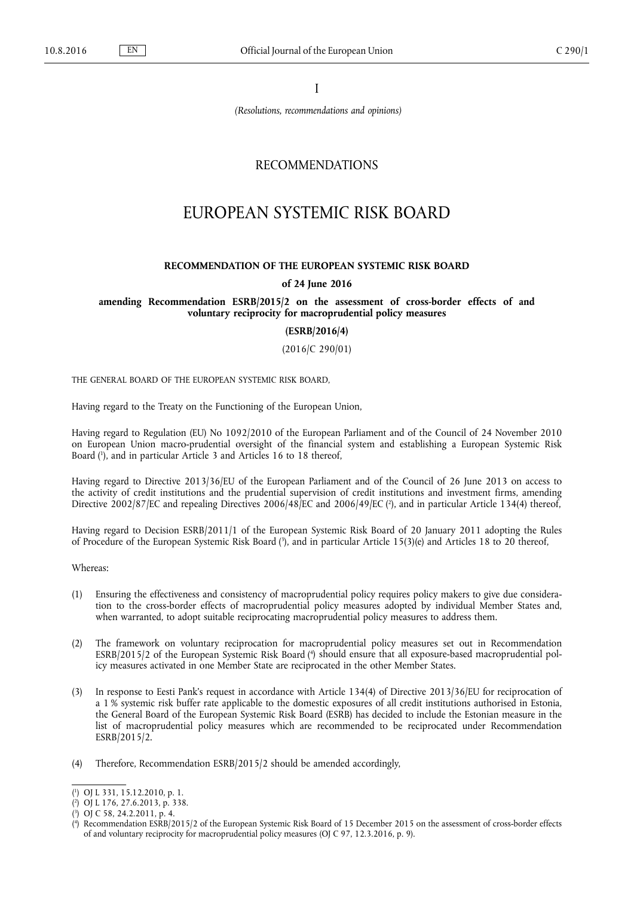I

*(Resolutions, recommendations and opinions)*

# RECOMMENDATIONS

# EUROPEAN SYSTEMIC RISK BOARD

#### **RECOMMENDATION OF THE EUROPEAN SYSTEMIC RISK BOARD**

#### **of 24 June 2016**

## **amending Recommendation ESRB/2015/2 on the assessment of cross-border effects of and voluntary reciprocity for macroprudential policy measures**

**(ESRB/2016/4)**

(2016/C 290/01)

THE GENERAL BOARD OF THE EUROPEAN SYSTEMIC RISK BOARD,

Having regard to the Treaty on the Functioning of the European Union,

Having regard to Regulation (EU) No 1092/2010 of the European Parliament and of the Council of 24 November 2010 on European Union macro-prudential oversight of the financial system and establishing a European Systemic Risk Board ( 1 ), and in particular Article 3 and Articles 16 to 18 thereof,

Having regard to Directive 2013/36/EU of the European Parliament and of the Council of 26 June 2013 on access to the activity of credit institutions and the prudential supervision of credit institutions and investment firms, amending Directive 2002/87/EC and repealing Directives 2006/48/EC and 2006/49/EC ( 2 ), and in particular Article 134(4) thereof,

Having regard to Decision ESRB/2011/1 of the European Systemic Risk Board of 20 January 2011 adopting the Rules of Procedure of the European Systemic Risk Board ( 3 ), and in particular Article 15(3)(e) and Articles 18 to 20 thereof,

Whereas:

- (1) Ensuring the effectiveness and consistency of macroprudential policy requires policy makers to give due consideration to the cross-border effects of macroprudential policy measures adopted by individual Member States and, when warranted, to adopt suitable reciprocating macroprudential policy measures to address them.
- (2) The framework on voluntary reciprocation for macroprudential policy measures set out in Recommendation ESRB/2015/2 of the European Systemic Risk Board ( 4 ) should ensure that all exposure-based macroprudential policy measures activated in one Member State are reciprocated in the other Member States.
- (3) In response to Eesti Pank's request in accordance with Article 134(4) of Directive 2013/36/EU for reciprocation of a 1 % systemic risk buffer rate applicable to the domestic exposures of all credit institutions authorised in Estonia, the General Board of the European Systemic Risk Board (ESRB) has decided to include the Estonian measure in the list of macroprudential policy measures which are recommended to be reciprocated under Recommendation ESRB/2015/2.
- (4) Therefore, Recommendation ESRB/2015/2 should be amended accordingly,

<sup>(</sup> 1 ) OJ L 331, 15.12.2010, p. 1.

<sup>(</sup> 2 ) OJ L 176, 27.6.2013, p. 338. ( 3 ) OJ C 58, 24.2.2011, p. 4.

<sup>(</sup> 4 ) Recommendation ESRB/2015/2 of the European Systemic Risk Board of 15 December 2015 on the assessment of cross-border effects of and voluntary reciprocity for macroprudential policy measures (OJ C 97, 12.3.2016, p. 9).